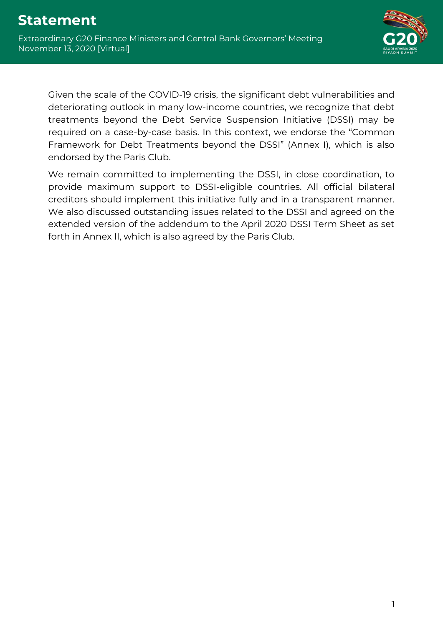

Given the scale of the COVID-19 crisis, the significant debt vulnerabilities and deteriorating outlook in many low-income countries, we recognize that debt treatments beyond the Debt Service Suspension Initiative (DSSI) may be required on a case-by-case basis. In this context, we endorse the "Common Framework for Debt Treatments beyond the DSSI" (Annex I), which is also endorsed by the Paris Club.

We remain committed to implementing the DSSI, in close coordination, to provide maximum support to DSSI-eligible countries. All official bilateral creditors should implement this initiative fully and in a transparent manner. We also discussed outstanding issues related to the DSSI and agreed on the extended version of the addendum to the April 2020 DSSI Term Sheet as set forth in Annex II, which is also agreed by the Paris Club.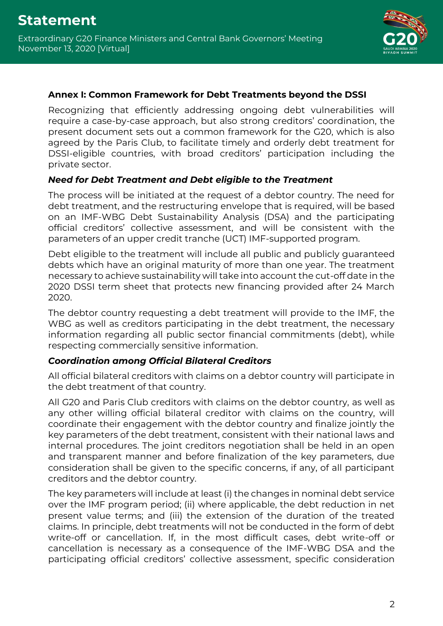

#### **Annex I: Common Framework for Debt Treatments beyond the DSSI**

Recognizing that efficiently addressing ongoing debt vulnerabilities will require a case-by-case approach, but also strong creditors' coordination, the present document sets out a common framework for the G20, which is also agreed by the Paris Club, to facilitate timely and orderly debt treatment for DSSI-eligible countries, with broad creditors' participation including the private sector.

## *Need for Debt Treatment and Debt eligible to the Treatment*

The process will be initiated at the request of a debtor country. The need for debt treatment, and the restructuring envelope that is required, will be based on an IMF-WBG Debt Sustainability Analysis (DSA) and the participating official creditors' collective assessment, and will be consistent with the parameters of an upper credit tranche (UCT) IMF-supported program.

Debt eligible to the treatment will include all public and publicly guaranteed debts which have an original maturity of more than one year. The treatment necessary to achieve sustainability will take into account the cut-off date in the 2020 DSSI term sheet that protects new financing provided after 24 March 2020.

The debtor country requesting a debt treatment will provide to the IMF, the WBG as well as creditors participating in the debt treatment, the necessary information regarding all public sector financial commitments (debt), while respecting commercially sensitive information.

# *Coordination among Official Bilateral Creditors*

All official bilateral creditors with claims on a debtor country will participate in the debt treatment of that country.

All G20 and Paris Club creditors with claims on the debtor country, as well as any other willing official bilateral creditor with claims on the country, will coordinate their engagement with the debtor country and finalize jointly the key parameters of the debt treatment, consistent with their national laws and internal procedures. The joint creditors negotiation shall be held in an open and transparent manner and before finalization of the key parameters, due consideration shall be given to the specific concerns, if any, of all participant creditors and the debtor country.

The key parameters will include at least (i) the changes in nominal debt service over the IMF program period; (ii) where applicable, the debt reduction in net present value terms; and (iii) the extension of the duration of the treated claims. In principle, debt treatments will not be conducted in the form of debt write-off or cancellation. If, in the most difficult cases, debt write-off or cancellation is necessary as a consequence of the IMF-WBG DSA and the participating official creditors' collective assessment, specific consideration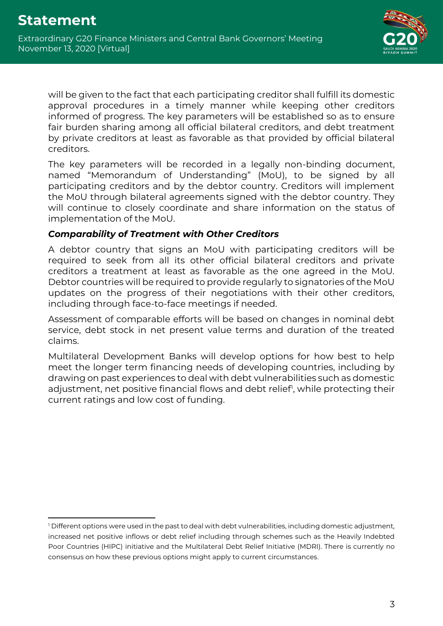

will be given to the fact that each participating creditor shall fulfill its domestic approval procedures in a timely manner while keeping other creditors informed of progress. The key parameters will be established so as to ensure fair burden sharing among all official bilateral creditors, and debt treatment by private creditors at least as favorable as that provided by official bilateral creditors.

The key parameters will be recorded in a legally non-binding document, named "Memorandum of Understanding" (MoU), to be signed by all participating creditors and by the debtor country. Creditors will implement the MoU through bilateral agreements signed with the debtor country. They will continue to closely coordinate and share information on the status of implementation of the MoU.

## *Comparability of Treatment with Other Creditors*

A debtor country that signs an MoU with participating creditors will be required to seek from all its other official bilateral creditors and private creditors a treatment at least as favorable as the one agreed in the MoU. Debtor countries will be required to provide regularly to signatories of the MoU updates on the progress of their negotiations with their other creditors, including through face-to-face meetings if needed.

Assessment of comparable efforts will be based on changes in nominal debt service, debt stock in net present value terms and duration of the treated claims.

Multilateral Development Banks will develop options for how best to help meet the longer term financing needs of developing countries, including by drawing on past experiences to deal with debt vulnerabilities such as domestic adjustment, net positive financial flows and debt relief', while protecting their current ratings and low cost of funding.

<sup>&</sup>lt;sup>1</sup> Different options were used in the past to deal with debt vulnerabilities, including domestic adjustment, increased net positive inflows or debt relief including through schemes such as the Heavily Indebted Poor Countries (HIPC) initiative and the Multilateral Debt Relief Initiative (MDRI). There is currently no consensus on how these previous options might apply to current circumstances.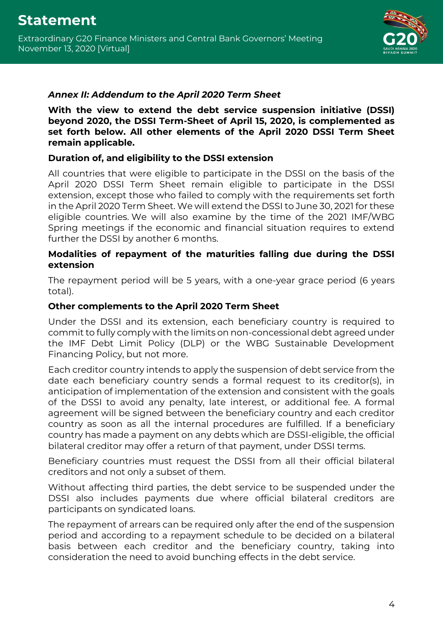

## *Annex II: Addendum to the April 2020 Term Sheet*

**With the view to extend the debt service suspension initiative (DSSI) beyond 2020, the DSSI Term-Sheet of April 15, 2020, is complemented as set forth below. All other elements of the April 2020 DSSI Term Sheet remain applicable.** 

## **Duration of, and eligibility to the DSSI extension**

All countries that were eligible to participate in the DSSI on the basis of the April 2020 DSSI Term Sheet remain eligible to participate in the DSSI extension, except those who failed to comply with the requirements set forth in the April 2020 Term Sheet. We will extend the DSSI to June 30, 2021 for these eligible countries. We will also examine by the time of the 2021 IMF/WBG Spring meetings if the economic and financial situation requires to extend further the DSSI by another 6 months.

#### **Modalities of repayment of the maturities falling due during the DSSI extension**

The repayment period will be 5 years, with a one-year grace period (6 years total).

## **Other complements to the April 2020 Term Sheet**

Under the DSSI and its extension, each beneficiary country is required to commit to fully comply with the limits on non-concessional debt agreed under the IMF Debt Limit Policy (DLP) or the WBG Sustainable Development Financing Policy, but not more.

Each creditor country intends to apply the suspension of debt service from the date each beneficiary country sends a formal request to its creditor(s), in anticipation of implementation of the extension and consistent with the goals of the DSSI to avoid any penalty, late interest, or additional fee. A formal agreement will be signed between the beneficiary country and each creditor country as soon as all the internal procedures are fulfilled. If a beneficiary country has made a payment on any debts which are DSSI-eligible, the official bilateral creditor may offer a return of that payment, under DSSI terms.

Beneficiary countries must request the DSSI from all their official bilateral creditors and not only a subset of them.

Without affecting third parties, the debt service to be suspended under the DSSI also includes payments due where official bilateral creditors are participants on syndicated loans.

The repayment of arrears can be required only after the end of the suspension period and according to a repayment schedule to be decided on a bilateral basis between each creditor and the beneficiary country, taking into consideration the need to avoid bunching effects in the debt service.